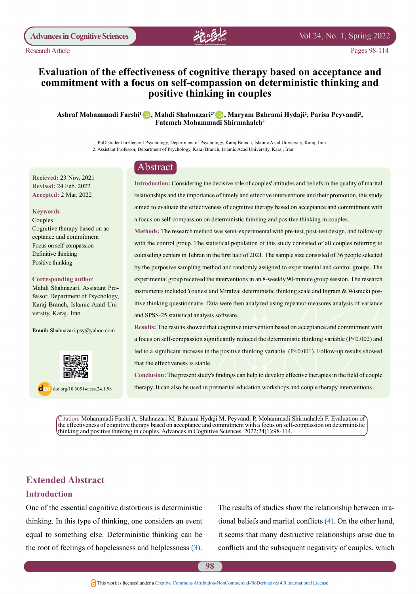

Pages 98-114

# **Evaluation of the effectiveness of cognitive therapy based on acceptance and commitment** with a focus on self-compassion on deterministic thinking and **positive thinking in couples**

#### Ashraf Mohammadi Farshi<sup>ı</sup> (D), Mahdi Shahnazari<sup>2\*</sup> (D), Maryam Bahrami Hydaji<sup>2</sup>, Parisa Peyvandi<sup>2</sup>, Fatemeh Mohammadi Shirmahaleh<sup>2</sup>

1. PhD student in General Psychology, Department of Psychology, Karaj Branch, Islamic Azad University, Karaj, Iran 2. Assistant Professor, Department of Psychology, Karaj Branch, Islamic Azad University, Karaj, Iran

### Abstract

**Recieved: 23 Nov. 2021 Revised: 24 Feb. 2022** Accepted: 2 Mar. 2022

#### **Keywords**

Couples Cognitive therapy based on acceptance and commitment Focus on self-compassion Definitive thinking Positive thinking

#### **author Corresponding**

fessor, Department of Psychology, Mahdi Shahnazari, Assistant Pro-Karaj Branch, Islamic Azad Uni-<br>versity, Karaj, Iran

Email: Shahnazari-psy@yahoo.com



 $\log$  doi.org/10.30514/icss.24.1.98

Introduction: Considering the decisive role of couples' attitudes and beliefs in the quality of marital relationships and the importance of timely and effective interventions and their promotion, this study aimed to evaluate the effectiveness of cognitive therapy based on acceptance and commitment with a focus on self-compassion on deterministic thinking and positive thinking in couples.

Methods: The research method was semi-experimental with pre-test, post-test design, and follow-up with the control group. The statistical population of this study consisted of all couples referring to counseling centers in Tehran in the first half of 2021. The sample size consisted of 36 people selected by the purposive sampling method and randomly assigned to experimental and control groups. The experimental group received the interventions in an 8-weekly 90-minute group session. The research itive thinking questionnaire. Data were then analyzed using repeated-measures analysis of variance instruments included Younesi and Mirafzal deterministic thinking scale and Ingram & Wisnicki posand SPSS-25 statistical analysis software.

Results: The results showed that cognitive intervention based on acceptance and commitment with a focus on self-compassion significantly reduced the deterministic thinking variable  $(P< 0.002)$  and led to a significant increase in the positive thinking variable. (P<0.001). Follow-up results showed that the effectiveness is stable.

Conclusion: The present study's findings can help to develop effective therapies in the field of couple therapy. It can also be used in premarital education workshops and couple therapy interventions.

Citation: Mohammadi Farshi A, Shahnazari M, Bahrami Hydaji M, Peyvandi P, Mohammadi Shirmahaleh F. Evaluation of the effectiveness of cognitive therapy based on acceptance and commitment with a focus on self-compassion on deterministic thinking and positive thinking in couples. Advances in Cognitive Sciences. 2022;24(1):98-114.

# **Extended Abstract**

### **Introduction**

One of the essential cognitive distortions is deterministic thinking. In this type of thinking, one considers an event equal to something else. Deterministic thinking can be the root of feelings of hopelessness and helplessness  $(3)$  $(3)$  $(3)$ .

The results of studies show the relationship between irrational beliefs and marital conflicts ([4](#page-14-1)). On the other hand, it seems that many destructive relationships arise due to conflicts and the subsequent negativity of couples, which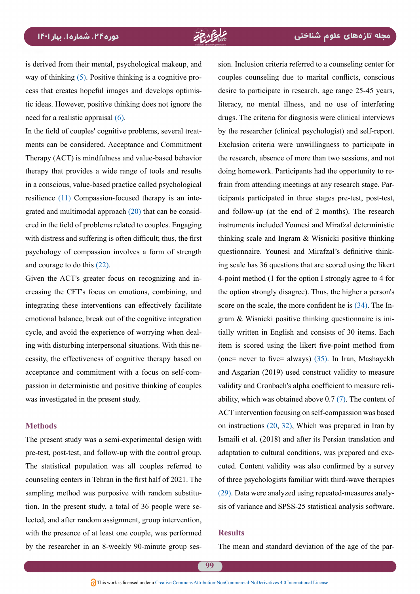is derived from their mental, psychological makeup, and tic ideas. However, positive thinking does not ignore the cess that creates hopeful images and develops optimisway of thinking  $(5)$ . Positive thinking is a cognitive proneed for a realistic appraisal  $(6)$ .

ments can be considered. Acceptance and Commitment In the field of couples' cognitive problems, several treat-Therapy (ACT) is mindfulness and value-based behavior therapy that provides a wide range of tools and results in a conscious, value-based practice called psychological ered in the field of problems related to couples. Engaging grated and multimodal approach  $(20)$  $(20)$  $(20)$  that can be considresilience  $(11)$  $(11)$  $(11)$  Compassion-focused therapy is an intewith distress and suffering is often difficult; thus, the first psychology of compassion involves a form of strength and courage to do this  $(22)$  $(22)$ .

creasing the CFT's focus on emotions, combining, and Given the ACT's greater focus on recognizing and inintegrating these interventions can effectively facilitate emotional balance, break out of the cognitive integration cessity, the effectiveness of cognitive therapy based on ing with disturbing interpersonal situations. With this necycle, and avoid the experience of worrying when dealpassion in deterministic and positive thinking of couples acceptance and commitment with a focus on self-comwas investigated in the present study.

#### **Methods**

The present study was a semi-experimental design with pre-test, post-test, and follow-up with the control group. The statistical population was all couples referred to counseling centers in Tehran in the first half of 2021. The lected, and after random assignment, group intervention, tion. In the present study, a total of 36 people were sesampling method was purposive with random substituwith the presence of at least one couple, was performed by the researcher in an 8-weekly 90-minute group ses-

sion. Inclusion criteria referred to a counseling center for<br>
couples counseling due to martial confitting crites consistence<br>
desire to participate in research, age range 25-45 years,<br>
literacy, no mental illness, and no couples counseling due to marital conflicts, conscious desire to participate in research, age range 25-45 years, literacy, no mental illness, and no use of interfering drugs. The criteria for diagnosis were clinical interviews by the researcher (clinical psychologist) and self-report. Exclusion criteria were unwillingness to participate in the research, absence of more than two sessions, and not ticipants participated in three stages pre-test, post-test, frain from attending meetings at any research stage. Pardoing homework. Participants had the opportunity to reand follow-up (at the end of 2 months). The research instruments included Younesi and Mirafzal deterministic thinking scale and Ingram  $\&$  Wisnicki positive thinking ing scale has 36 questions that are scored using the likert questionnaire. Younesi and Mirafzal's definitive think-4-point method  $(1$  for the option I strongly agree to 4 for the option strongly disagree). Thus, the higher a person's tially written in English and consists of 30 items. Each gram  $\&$  Wisnicki positive thinking questionnaire is iniscore on the scale, the more confident he is  $(34)$ . The Initem is scored using the likert five-point method from (one= never to five= always)  $(35)$ . In Iran, Mashayekh and Asgarian (2019) used construct validity to measure ability, which was obtained above  $0.7$  (7). The content of validity and Cronbach's alpha coefficient to measure reli-ACT intervention focusing on self-compassion was based on instructions  $(20, 32)$ , Which was prepared in Iran by Ismaili et al. (2018) and after its Persian translation and cuted. Content validity was also confirmed by a survey adaptation to cultural conditions, was prepared and exeof three psychologists familiar with third-wave therapies sis of variance and SPSS-25 statistical analysis software.  $(29)$ . Data were analyzed using repeated-measures analy-

#### **Results**

The mean and standard deviation of the age of the par-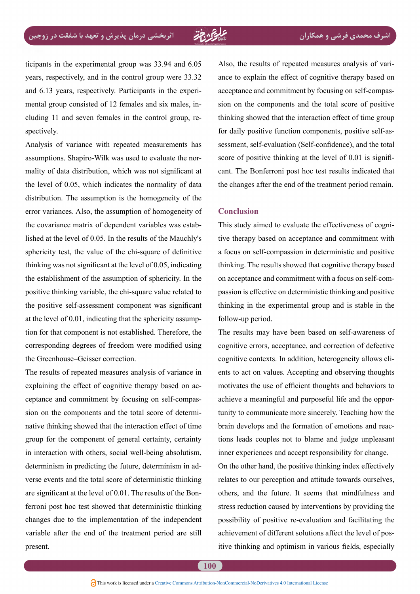ticipants in the experimental group was  $33.94$  and  $6.05$ years, respectively, and in the control group were  $33.32$ cluding 11 and seven females in the control group, re-<br>spectively. mental group consisted of 12 females and six males, in-<br>cluding-11 and seven females in the control group, remental group consisted of 12 females and six males, inand 6.13 years, respectively. Participants in the experi-

Analysis of variance with repeated measurements has mality of data distribution, which was not significant at assumptions. Shapiro-Wilk was used to evaluate the northe level of  $0.05$ , which indicates the normality of data distribution. The assumption is the homogeneity of the error variances. Also, the assumption of homogeneity of lished at the level of 0.05. In the results of the Mauchly's the covariance matrix of dependent variables was estabsphericity test, the value of the chi-square of definitive thinking was not significant at the level of  $0.05$ , indicating the establishment of the assumption of sphericity. In the positive thinking variable, the chi-square value related to the positive self-assessment component was significant tion for that component is not established. Therefore, the at the level of  $0.01$ , indicating that the sphericity assumpcorresponding degrees of freedom were modified using the Greenhouse–Geisser correction.

The results of repeated measures analysis of variance in native thinking showed that the interaction effect of timesion on the components and the total score of determiceptance and commitment by focusing on self-compasexplaining the effect of cognitive therapy based on acgroup for the component of general certainty, certainty in interaction with others, social well-being absolutism. verse events and the total score of deterministic thinking determinism in predicting the future, determinism in adferroni post hoc test showed that deterministic thinking are significant at the level of  $0.01$ . The results of the Bonchanges due to the implementation of the independent variable after the end of the treatment period are still .present

Also, the results of repeated measures analysis of variance to explain the effect of cognitive therapy based on sion on the components and the total score of positive acceptance and commitment by focusing on self-compasthinking showed that the interaction effect of time group sessment, self-evaluation (Self-confidence), and the total for daily positive function components, positive self-ascant. The Bonferroni post hoc test results indicated that score of positive thinking at the level of  $0.01$  is signifithe changes after the end of the treatment period remain.

#### **Conclusion**

tive therapy based on acceptance and commitment with This study aimed to evaluate the effectiveness of cognia focus on self-compassion in deterministic and positive thinking. The results showed that cognitive therapy based passion is effective on deterministic thinking and positive on acceptance and commitment with a focus on self-comthinking in the experimental group and is stable in the follow-up period.

The results may have been based on self-awareness of cognitive errors, acceptance, and correction of defective ents to act on values. Accepting and observing thoughts cognitive contexts. In addition, heterogeneity allows climotivates the use of efficient thoughts and behaviors to tunity to communicate more sincerely. Teaching how the achieve a meaningful and purposeful life and the opportions leads couples not to blame and judge unpleasant brain develops and the formation of emotions and reacinner experiences and accept responsibility for change.

On the other hand, the positive thinking index effectively relates to our perception and attitude towards ourselves, others, and the future. It seems that mindfulness and stress reduction caused by interventions by providing the possibility of positive re-evaluation and facilitating the itive thinking and optimism in various fields, especially achievement of different solutions affect the level of pos-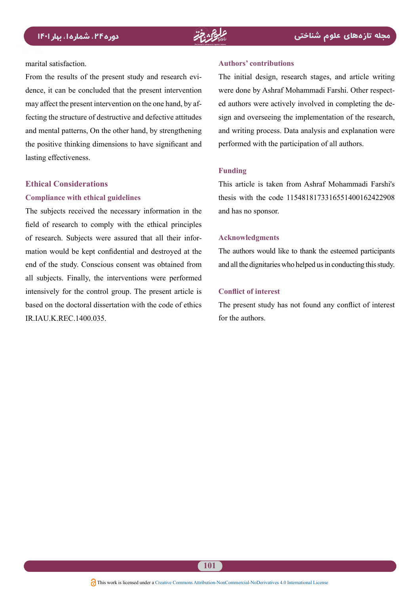#### marital satisfaction.

dence, it can be concluded that the present intervention From the results of the present study and research evifecting the structure of destructive and defective attitudes may affect the present intervention on the one hand, by afand mental patterns. On the other hand, by strengthening the positive thinking dimensions to have significant and lasting effectiveness.

### **Ethical Considerations**

#### **Compliance with ethical guidelines**

The subjects received the necessary information in the field of research to comply with the ethical principles mation would be kept confidential and destroyed at the of research. Subjects were assured that all their inforend of the study. Conscious consent was obtained from all subjects. Finally, the interventions were performed intensively for the control group. The present article is based on the doctoral dissertation with the code of ethics IR.IAU.K.REC.1400.035.

#### **contributions' Authors**

The initial design, research stages, and article writing sign and overseeing the implementation of the research, ed authors were actively involved in completing the dewere done by Ashraf Mohammadi Farshi. Other respectand writing process. Data analysis and explanation were performed with the participation of all authors.

#### **Funding**

This article is taken from Ashraf Mohammadi Farshi's thesis with the code  $1154818173316551400162422908$ and has no sponsor.

#### **Acknowledgments**

The authors would like to thank the esteemed participants and all the dignitaries who helped us in conducting this study.

#### **Conflict of interest**

The present study has not found any conflict of interest for the authors.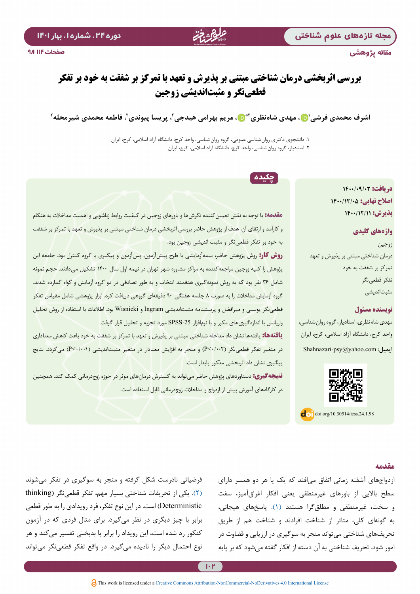مقاله پژوهشی



# **بررسی اثربخشی درمان شناختی مبتنی بر پذیرش و تعهد با تمرکز بر شفقت به خود بر تفکر قطعینگر و مثبتاندیشی زوجین**

**2 ،2 فاطمه محمدی شیرمحله ،2 پریسا پیوندی 2[\\* ،](http://orcid.org/0000-0003-0189-8097) مریم بهرامی هیدجی [1 ،](http://orcid.org/0000-0002-7081-8831) مهدی شاهنظری اشرف محمدی فرشی**

.1 دانشجوی دکتری روانشناسی عمومی، گروه روانشناسی، واحد کرج، دانشگاه آزاد اسالمی، کرج، ایران .2 استادیار، گروه روانشناسی، واحد کرج، دانشگاه آزاد اسالمی، کرج، ایران

چکیده

**دریافت: 1400/09/02 اصالح نهایی: 1400/12/05 پذیرش: 1400/12/11**

### **واژههای کلیدی**

زوجین درمان شناختی مبتنی بر پذیرش و تعهد تمرکز بر شفقت به خود تفکر قطعینگر مثبتاندیشی

### **نویسنده مسئول**

مهدی شاه نظری، استادیار، گروه روانشناسی، واحد کرج، دانشگاه آزاد اسالمی، کرج، ایران **ایمیل:** com.yahoo@psy-Shahnazari



 $\overline{d}$  .  $\overline{d}$   $\overline{d}$   $\overline{d}$   $\overline{d}$   $\overline{d}$   $\overline{d}$   $\overline{d}$   $\overline{d}$   $\overline{d}$   $\overline{d}$   $\overline{d}$   $\overline{d}$   $\overline{d}$   $\overline{d}$   $\overline{d}$   $\overline{d}$   $\overline{d}$   $\overline{d}$   $\overline{d}$   $\overline{d}$   $\overline{d}$   $\overline{d}$   $\overline{d}$   $\over$ 

**مقدمه:** با توجه به نقش تعیینکننده نگرشها و باورهای زوجین در کیفیت روابط زناشویی و اهمیت مداخالت به هنگام و کارآمد و ارتقای آن، هدف از پژوهش حاضر بررسی اثربخشی درمان شناختی مبتنی بر پذیرش و تعهد با تمرکز بر شفقت به خود بر تفکر قطعینگر و مثبت اندیشی زوجین بود.

**روش کار:** روش پژوهش حاضر، نیمهآزمایشی با طرح پیشآزمون، پسآزمون و پیگیری با گروه کنترل بود. جامعه این پژوهش را کلیه زوجین مراجعهکننده به مراکز مشاوره شهر تهران در نیمه اول سال 1400 تشکیل میدادند. حجم نمونه شامل 36 نفر بود که به روش نمونهگیری هدفمند انتخاب و به طور تصادفی در دو گروه آزمایش و گواه گمارده شدند. گروه آزمایش مداخالت را به صورت 8 جلسه هفتگی 90 دقیقهای گروهی دریافت کرد. ابزار پژوهشی شامل مقیاس تفكر قطعينگر یونسی و میرافضل و پرسشنامه مثبتاندیشی Ingram و Wisnicki بود. اطالعات با استفاده از روش تحلیل واریانس با اندازهگیریهای مکرر و با نرمافزار -25SPSS مورد تجزیه و تحلیل قرار گرفت. **یافتهها:** یافتهها نشان داد مداخله شناختی مبتنی بر پذیرش و تعهد با تمرکز بر شفقت به خود باعث کاهش معناداری

در متغیر تفکر قطعینگر )0/002<P )و منجر به افزایش معنادار در متغیر مثبتاندیشی )0/001<P )میگردد. نتایج پیگیری نشان داد اثربخشی مذکور پایدار است.

**نتیجهگیری:** دستاوردهای پژوهش حاضر میتواند به گسترش درمانهای موثر در حوزه زوجدرمانی کمک کند. همچنین در کارگاههای آموزش پیش از ازدواج و مداخالت زوجدرمانی قابل استفاده است.

#### **مقدمه**

ازدواجهای آشفته زمانی اتفاق میافتد که یک یا هر دو همسر دارای سطح باالیی از باورهای غیرمنطقی یعنی افکار اغراقآمیز، سفت و سخت، غیرمنطقی و مطلقگرا هستند )[1](#page-14-5)(. پاسخهای هیجانی، به گونهای کلی، متاثر از شناخت افرادند و شناخت هم از طریق تحریفهای شناختی میتواند منجر به سوگیری در ارزیابی و قضاوت در امور شود. تحریف شناختی به آن دسته از افکار گفته میشود که بر پایه

فرضیاتی نادرست شکل گرفته و منجر به سوگیری در تفکر میشوند [\)2\(](#page-14-6). یکی از تحریفات شناختی بسیار مهم، تفکر قطعینگر )thinking Deterministic )است. در این نوع تفکر، فرد رویدادی را به طور قطعی برابر با چیز دیگری در نظر میگیرد. برای مثال فردی که در آزمون کنکور رد شده است، این رویداد را برابر با بدبختی تفسیر میکند و هر نوع احتمال دیگر را نادیده میگیرد. در واقع تفکر قطعینگر میتواند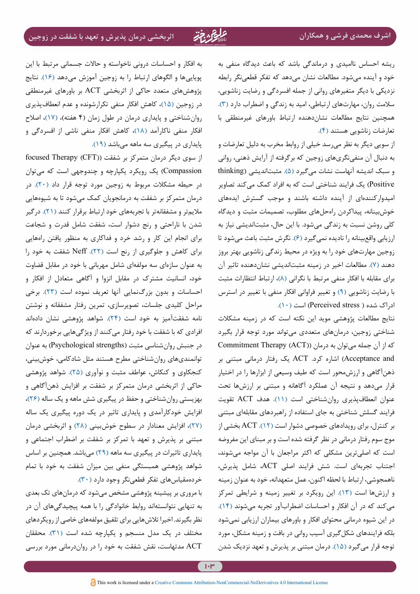ریشه احساس ناامیدی و درماندگی باشد که باعث دیدگاه منفی به خود و آینده میشود. مطالعات نشان میدهد که تفکر قطعینگر رابطه نزدیکی با دیگر متغیرهای روانی از جمله افسردگی و رضایت زناشویی، سالمت روان، مهارتهای ارتباطی، امید به زندگی و اضطراب دارد [\)3\(](#page-14-0). همچنین نتایج مطالعات نشاندهنده ارتباط باورهای غیرمنطقی با تعارضات زناشویی هستند [\)4\(](#page-14-1).

از سویی دیگر به نظر میرسد خیلی از روابط مخرب به دلیل تعارضات و به دنبال آن منفینگریهای زوجین که برگرفته از آرایش ذهنی، روانی و سبک اندیشه آنهاست نشات میگیرد (۵). مثبتاندیشی (thinking Positive )یک فرایند شناختی است که به افراد کمک میکند تصاویر امیدوارکنندهای از آینده داشته باشند و موجب گسترش ایدههای خوشبینانه، پیداکردن راهحلهای مطلوب، تصمیمات مثبت و دیدگاه کلی روشن نسبت به زندگی میشود. با این حال، مثبتاندیشی نیاز به ارزیابی واقعبینانه را نادیده نمیگیرد [\)6](#page-14-3)(. نگرش مثبت باعث میشود تا زوجین مهارتهای خود را به ویژه در محیط زندگی زناشویی بهتر بروز دهند [\)7\(](#page-14-4). مطالعات اخیر در زمینه مثبتاندیشی نشاندهنده تاثیر آن برای مقابله با افکار منفی مرتبط با نگرانی [\)۸\(](#page-14-7)، ارتباط انتظارات مثبت با رضایت زناشویی )[9](#page-14-8)( و تغییر فراوانی افکار منفی با تغییر در استرس  $(1 \cdot)$  ادراک شده ( Perceived stress) است  $(1 \cdot)$ .

نتایج مطالعات پژوهشی موید این نکته است که در زمینه مشکالت شناختی زوجین، درمانهای متعددی میتواند مورد توجه قرار بگیرد که از آن جمله میتوان به درمان ((ACT) (ACT) Commitment Therapy and Acceptance )اشاره کرد. ACT یک رفتار درمانی مبتنی بر ذهنآگاهی و ارزشمحور است که طیف وسیعی از ابزارها را در اختیار قرار میدهد و نتیجه آن عملکرد آگاهانه و مبتنی بر ارزشها تحت عنوان انعطافپذیری روانشناختی است [\)11\(](#page-15-0). هدف ACT تقویت فرایند گسلش شناختی به جای استفاده از راهبردهای مقابلهای مبتنی بر کنترل، برای رویدادهای خصوصی دشوار است )[12\(](#page-15-4). ACT بخشی از موج سوم رفتار درمانی در نظر گرفته شده است و بر مبنای این مفروضه است که اصلیترین مشکلی که اکثر مراجعان با آن مواجه میشوند، اجتناب تجربهای است. شش فرایند اصلی ACT، شامل پذیرش، ناهمجوشی، ارتباط با لحظه اکنون، عمل متعهدانه، خود به عنوان زمینه و ارزشها است )[13](#page-15-5)(. این رویکرد بر تغییر زمینه و شرایطی تمرکز میکند که در آن افکار و احساسات اضطرابآور تجربه میشوند [\)14\(](#page-15-6). در این شیوه درمانی محتوای افکار و باورهای بیماران ارزیابی نمیشود بلکه فرایندهای شکلگیری آسیب روانی در بافت و زمینه مشکل، مورد توجه قرار میگیرد )[15\(](#page-15-7). درمان مبتنی بر پذیرش و تعهد نزدیک شدن

به افکار و احساسات درونی ناخواسته و حاالت جسمانی مرتبط با این پویاییها و الگوهای ارتباط را به زوجین آموزش میدهد )16(. نتایج پژوهشهای متعدد حاکی از اثربخشی ACT بر باورهای غیرمنطقی در زوجین (۱۵)، کاهش افکار منفی تکرارشونده و عدم انعطافپذیری روان شناختی و پایداری درمان در طول زمان (۴ هفته)، (۱۷)، اصلاح افکار منفی ناکارآمد [\)1۸\(](#page-15-9)، کاهش افکار منفی ناشی از افسردگی و پایداری در پیگیری سه ماهه میباشد [\)19\(](#page-15-10).

از سوی دیگر درمان متمرکز بر شفقت (CFT) (CFT) (CFT Compassion )یک رویکرد یکپارچه و چندوجهی است که میتوان در حیطه مشکالت مربوط به زوجین مورد توجه قرار داد )[20](#page-15-1)(. در درمان متمرکز بر شفقت به درمانجویان کمک میشود تا به شیوههایی مالیمتر و مشفقانهتر با تجربههای خود ارتباط برقرار کنند )[۲۱\(](#page-15-11). درگیر شدن با ناراحتی و رنج دشوار است، شفقت شامل قدرت و شجاعت برای انجام این کار و رشد خرد و فداکاری به منظور یافتن راههایی برای کاهش و جلوگیری از رنج است )[2۲](#page-15-2)(. Neff شفقت به خود را به عنوان سازهاي سه مولفهاي شامل مهرباني با خود در مقابل قضاوت خود، انسانیت مشترک در مقابل انزوا و آگاهی متعادل از افکار و احساسات و بدون بزرگنمایی آنها تعريف نموده است )[۲۳](#page-15-12)(. برخی مراحل کلیدی جلسات، تصویرسازی، تمرین رفتار مشفقانه و نوشتن نامه شفقتآمیز به خود است )[۲۴\(](#page-15-13). شواهد پژوهشی نشان دادهاند افرادی که با شفقت با خود رفتار میکنند از ویژگیهایی برخوردارند که در جنبش روانشناسی مثبت )strengths Psychological )به عنوان توانمندیهای روانشناختی مطرح هستند مثل شادکامی، خوشبینی، کنجکاوی و کنکاش، عواطف مثبت و نوآوری [\)2۵\(](#page-15-14). شواهد پژوهشی حاکی از اثربخشی درمان متمرکز بر شفقت بر افزایش ذهنآگاهی و بهزیستی روانشناختی و حفظ در پیگیری شش ماهه و یک ساله [\)2۶](#page-15-15)(، افزایش خودکارآمدی و پایداری تاثیر در یک دوره پیگیری یک ساله [\)2۷\(](#page-15-17)، افزایش معنادار در سطوح خوشبینی )[2۸\(](#page-15-16) و اثربخشی درمان مبتنی بر پذیرش و تعهد با تمرکز بر شفقت بر اضطراب اجتماعی و پایداری تاثیرات در پیگیری سه ماهه ([۲۹](#page-15-3)) میباشد. همچنین بر اساس شواهد پژوهشی همبستگی منفی بین میزان شفقت به خود با تمام خردهمقیاسهای تفکر قطعینگر وجود دارد )[۳۰](#page-16-3)(.

با مروری بر پیشینه پژوهشی مشخص میشود که درمانهای تک بعدی به تنهایی نتوانستهاند روابط خانوادگی را با همه پیچیدگیهای آن در نظر بگیرند. اخیرا تالشهایی برای تلفیق مولفههای خاصی از رویکردهای مختلف در یک مدل منسجم و یکپارچه شده است )[۳۱](#page-16-4)(. محققان ACT مدتهاست، نقش شفقت به خود را در رواندرمانی مورد بررسی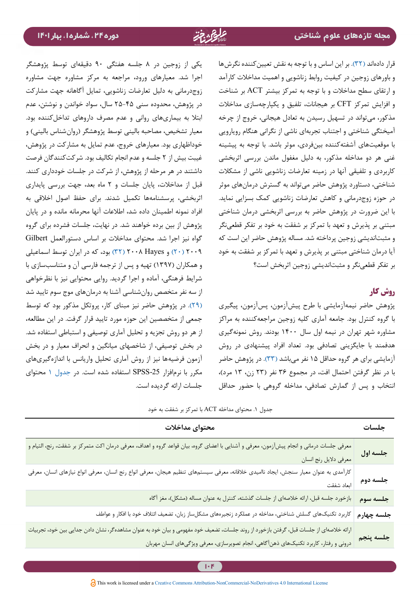قرار دادهاند )[۳۲](#page-16-2)(. بر این اساس و با توجه به نقش تعیینکننده نگرشها و باورهای زوجین در کیفیت روابط زناشویی و اهمیت مداخالت کارآمد و ارتقای سطح مداخالت و با توجه به تمرکز بیشتر ACT بر شناخت و افزایش تمرکز CFT بر هیجانات، تلفیق و یکپارچهسازی مداخالت مذکور، میتواند در تسهیل رسیدن به تعادل هیجانی، خروج از چرخه آمیختگی شناختی و اجتناب تجربهای ناشی از نگرانی هنگام رویارویی با موقعیتهای آشفتهکننده بینفردی، موثر باشد. با توجه به پیشینه غنی هر دو مداخله مذکور، به دلیل مغفول ماندن بررسی اثربخشی کاربردی و تلفیقی آنها در زمینه تعارضات زناشویی ناشی از مشکالت شناختی، دستاورد پژوهش حاضر میتواند به گسترش درمانهای موثر در حوزه زوجدرمانی و کاهش تعارضات زناشویی کمک بسزایی نماید. با این ضرورت در پژوهش حاضر به بررسی اثربخشی درمان شناختی مبتنی بر پذیرش و تعهد با تمرکز بر شفقت به خود بر تفکر قطعینگر و مثبتاندیشی زوجین پرداخته شد. مساله پژوهش حاضر این است که آیا درمان شناختی مبتنی بر پذیرش و تعهد با تمرکز بر شفقت به خود بر تفکر قطعینگر و مثبتاندیشی زوجین اثربخش است؟

# <span id="page-6-0"></span>**روش کار**

پژوهش حاضر نیمهآزمایشی با طرح پیشآزمون، پسآزمون، پیگیری با گروه کنترل بود. جامعه آماری کلیه زوجین مراجعهکننده به مراکز مشاوره شهر تهران در نیمه اول سال 1400 بودند. روش نمونهگیری هدفمند با جایگزینی تصادفی بود. تعداد افراد پیشنهادی در روش آزمایشی برای هر گروه حداقل 15 نفر میباشد [\)3۳\(](#page-16-5). در پژوهش حاضر با در نظر گرفتن احتمال افت، در مجموع 36 نفر )۲۳ زن، ۱۳ مرد(، انتخاب و پس از گمارش تصادفی، مداخله گروهی با حضور حداقل

یکی از زوجین در 8 جلسه هفتگی ۹۰ دقیقهای توسط پژوهشگر اجرا شد. معیارهای ورود، مراجعه به مرکز مشاوره جهت مشاوره زوجدرمانی به دلیل تعارضات زناشویی، تمایل آگاهانه جهت مشارکت در پژوهش، محدوده سنی 25-45 سال، سواد خواندن و نوشتن، عدم ابتال به بیماریهای روانی و عدم مصرف داروهای تداخلکننده بود. معیار تشخیص، مصاحبه بالینی توسط پژوهشگر )روانشناس بالینی( و خوداظهاری بود. معیارهای خروج، عدم تمایل به مشارکت در پژوهش، غیبت بیش از 2 جلسه و عدم انجام تکالیف بود. شرکتکنندگان فرصت داشتند در هر مرحله از پژوهش، از شرکت در جلسات خودداری کنند. قبل از مداخالت، پایان جلسات و 2 ماه بعد، جهت بررسی پایداری اثربخشی، پرسشنامهها تکمیل شدند. برای حفظ اصول اخالقی به افراد نمونه اطمینان داده شد، اطالعات آنها محرمانه مانده و در پایان پژوهش از بین برده خواهند شد. در نهایت، جلسات فشرده برای گروه گواه نیز اجرا شد. محتوای مداخالت بر اساس دستورالعمل Gilbert 2009 )[20\(](#page-15-1) و Hayes 2008( [۳۲](#page-16-2) [\)](#page-16-2)بود، که در ایران توسط اسماعیلی و همکاران )۱۳۹۷( تهیه و پس از ترجمه فارسی آن و متناسبسازی با شرایط فرهنگی، آماده و اجرا گردید. روایی محتوایی نیز با نظرخواهی از سه نفر متخصص روانشناسی آشنا به درمانهای موج سوم تایید شد [\)۲۹](#page-15-3)(. در پژوهش حاضر نیز مبنای کار، پروتکل مذکور بود که توسط جمعی از متخصصین این حوزه مورد تایید قرار گرفت. در این مطالعه، از هر دو روش تجزیه و تحلیل آماری توصیفی و استباطی استفاده شد. در بخش توصیفی، از شاخصهای میانگین و انحراف معیار و در بخش آزمون فرضیهها نیز از روش آماری تحلیل واریانس با اندازهگیریهای مکرر با نرمافزار -25SPSS استفاده شده است. در [جدول ۱ م](#page-6-0)حتوای

|  |  |  |  |  | جدول ۱. محتوای مداخله ACT با تمرکز بر شفقت به خود |  |
|--|--|--|--|--|---------------------------------------------------|--|
|--|--|--|--|--|---------------------------------------------------|--|

جلسات ارائه گردیده است.

| محتواي مداخلات                                                                                                                                                                                                                    | جلسات      |
|-----------------------------------------------------------------------------------------------------------------------------------------------------------------------------------------------------------------------------------|------------|
| معرفی جلسات درمانی و انجام پیشآزمون، معرفی و آشنایی با اعضای گروه، بیان قواعد گروه و اهداف، معرفی درمان اکت متمرکز بر شفقت، رنج، التیام و<br>معرفي دلايل رنج انسان                                                                | جلسه اول   |
| کارآمدی به عنوان معیار سنجش، ایجاد ناامیدی خلاقانه، معرفی سیستمهای تنظیم هیجان، معرفی انواع رنج انسان، معرفی انواع نیازهای انسان، معرفی<br>ابعاد شفقت                                                                             | جلسه دوم   |
| بازخورد جلسه قبل، ارائه خلاصهای از جلسات گذشته، کنترل به عنوان مساله (مشکل)، مغز آگاه                                                                                                                                             | جلسه سوم   |
| کاربرد تکنیکهای گسلش شناختی، مداخله در عملکرد زنجیرههای مشکلساز زبان، تضعیف ائتلاف خود با افکار و عواطف                                                                                                                           | جلسه چهارم |
| ارائه خلاصهای از جلسات قبل، گرفتن بازخورد از روند جلسات، تضعیف خود مفهومی و بیان خود به عنوان مشاهدهگر، نشان دادن جدایی بین خود، تجربیات<br>درونی و رفتار، کاربرد تکنیکهای ذهنآگاهی، انجام تصویرسازی، معرفی ویژگیهای انسان مهربان | جلسه پنجم  |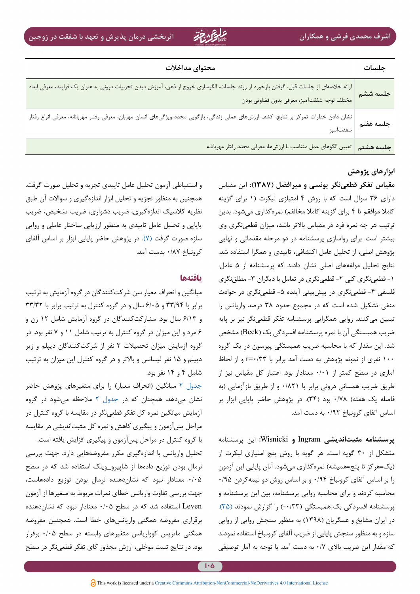**اشرف محمدی فرشی و همکاران اثربخشی درمان پذیرش و تعهد با شفقت در زوجین**

| محتواي مداخلات                                                                                                                                                                          | جلسات     |
|-----------------------------------------------------------------------------------------------------------------------------------------------------------------------------------------|-----------|
| ارائه خلاصهای از جلسات قبل، گرفتن بازخورد از روند جلسات، الگوسازی خروج از ذهن، آموزش دیدن تجربیات درونی به عنوان یک فرایند، معرفی ابعاد<br>مختلف توجه شفقت آميز، معرفي بدون قضاوتي بودن | جلسه ششم  |
| فشان دادن خطرات تمرکز بر نتایج، کشف ارزشهای عملی زندگی، بازگویی مجدد ویژگیهای انسان مهربان، معرفی رفتار مهربانانه، معرفی انواع رفتار<br><b>جلسه هفتم</b>                                |           |
| تعيين الگوهاي عمل متناسب با ارزشها، معرفي مجدد رفتار مهربانانه                                                                                                                          | جلسه هشتم |

**ابزارهای پژوهش**

**مقیاس تفكر قطعينگر یونسی و میرافضل )۱۳۸۷(:** اين مقیاس داراي 36 سوال است كه با روش 4 امتیازی لیکرت )1 برای گزینه کاملا موافقم تا ۴ برای گزینه کاملا مخالفم) نمرهگذاری میشود. بدین ترتیب هر چه نمره فرد در مقیاس باالتر باشد، میزان قطعینگری وی بیشتر است. برای رواسازی پرسشنامه در دو مرحله مقدماتی و نهایی پژوهش اصلی، از تحلیل عامل اکتشافی، تاییدی و همگرا استفاده شد. نتایج تحلیل مولفههای اصلی نشان دادند که پرسشنامه از 5 عامل: -1 قطعینگری کلی -2 قطعینگری در تعامل با دیگران -3 مطلقنگری فلسفی ۴- قطعینگری در پیشبینی آینده ۵- قطعینگری در حوادث منفی تشکیل شده است که در مجموع حدود 38 درصد واریانس را تبیین میکنند. روایی همگرایی پرسشنامه تفکر قطعینگر نیز بر پایه ضریب همبستگی آن با نمره پرسشنامه افسردگی بک (Beck) مشخص شد. این مقدار که با محاسبه ضریب همبستگی پیرسون در یک گروه 100 نفری از نمونه پژوهش به دست آمد برابر با 0/33=r و از لحاظ آماری در سطح کمتر از 0/01 معنادار بود. اعتبار کل مقیاس نیز از طریق ضریب همسانی درونی برابر با 0/821 و از طريق بازآزمايي )به فاصله يک هفته) ۰/۷۸ بود (۳۴). در پژوهش حاضر پایایی ابزار بر اساس آلفای کرونباخ 0/92 به دست آمد.

**پرسشنامه مثبتاندیشی** Ingram **و** Wisnicki**:** این پرسشنامه متشکل از ۳۰ گویه است. هر گویه با روش پنج امتیازی لیکرت از )یک=هرگز تا پنج=همیشه( نمرهگذاری میشود. آنان پایایی این آزمون را بر اساس آلفای كرونباخ 0/94 و بر اساس روش دو نیمهكردن 0/95 محاسبه کردند و برای محاسبه روایی پرسشنامه، بین این پرسشنامه و پرسشنامه افسردگی بک همبستگی (۰/۳۳-) را گزارش نمودند (۳۵). در ایران مشایخ و عسگریان )۱۳۹۸( به منظور سنجش روایی از روایی سازه و به منظور سنجش پایایی از ضریب آلفای کرونباخ استفاده نمودند که مقدار این ضریب باالی 0/7 به دست آمد. با توجه به آمار توصیفی

و استنباطی آزمون تحلیل عامل تاییدی تجزیه و تحلیل صورت گرفت. همچنین به منظور تجزیه و تحلیل ابزار اندازهگیری و سواالت آن طبق نظریه کالسیک اندازهگیری، ضریب دشواری، ضریب تشخیص، ضریب پایایی و تحلیل عامل تاییدی به منظور ارزیابی ساختار عاملی و روایی سازه صورت گرفت [\)۷\(](#page-14-4). در پژوهش حاضر پایایی ابزار بر اساس آلفای کرونباخ 0/87 بدست آمد.

### **یافتهها**

میانگین و انحراف معیار سن شرکتکنندگان در گروه آزمایش به ترتیب برابر با 33/94 و 6/05 سال و در گروه کنترل به ترتیب برابر با 33/32 و 6/13 سال بود. مشارکتکنندگان در گروه آزمایش شامل ۱۲ زن و ۶ مرد و این میزان در گروه کنترل به ترتیب شامل ۱۱ و ۷ نفر بود. در گروه آزمایش میزان تحصیالت 3 نفر از شرکتکنندگان دیپلم و زیر دیپلم و ۱۵ نفر لیسانس و باالتر و در گروه کنترل این میزان به ترتیب شامل 4 و 14 نفر بود.

[جدول ۲](#page-8-0) میانگین )انحراف معیار( را برای متغیرهای پژوهش حاضر نشان میدهد. همچنان که در [جدول ۲](#page-8-0) مالحظه میشود در گروه آزمایش میانگین نمره کل تفکر قطعینگر در مقایسه با گروه کنترل در مراحل پسآزمون و پیگیری کاهش و نمره کل مثبتاندیشی در مقایسه با گروه کنترل در مراحل پسآزمون و پیگیری افزایش یافته است. تحلیل واریانس با اندازهگیری مکرر مفروضههایی دارد. جهت بررسی نرمال بودن توزیع دادهها از شاپیرو\_ویلک استفاده شد که در سطح 0/05 معنادار نبود که نشاندهنده نرمال بودن توزیع دادههاست، جهت بررسی تفاوت واریانس خطای نمرات مربوط به متغیرها از آزمون Leven استفاده شد که در سطح 0/05 معنادار نبود که نشاندهنده برقراری مفروضه همگنی واریانسهای خطا است. همچنین مفروضه همگني ماتریس کوواريانس متغیرهای وابسته در سطح 0/05 برقرار بود. در نتایج تست موخلی، ارزش مجذور کای تفکر قطعینگر در سطح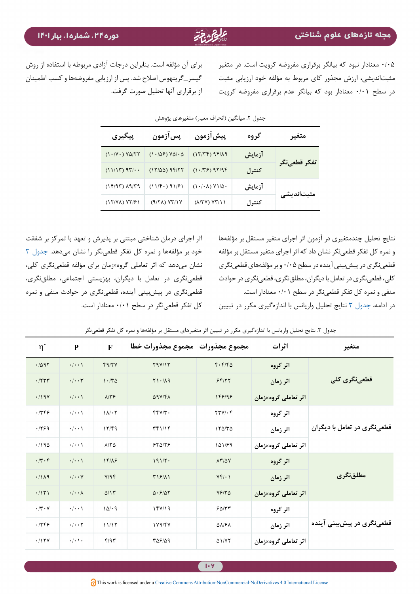<span id="page-8-0"></span>0/05 معنادار نبود که بیانگر برقراری مفروضه کرویت است. در متغیر مثبتاندیشی، ارزش مجذور کای مربوط به مؤلفه خود ارزیابی مثبت در سطح 0/01 معنادار بود که بیانگر عدم برقراری مفروضه کرویت

برای آن مؤلفه است. بنابراین درجات آزادی مربوطه با استفاده از روش گیسر\_گرینهوس اصالح شد. پس از ارزیابی مفروضهها و کسب اطمینان از برقراری آنها تحلیل صورت گرفت.

| متعير               | گروه   | <b>پیش ازمون</b>                         | يسازمون                   | پيکيري                   |
|---------------------|--------|------------------------------------------|---------------------------|--------------------------|
|                     | آزمایش | $(17/Tf) 9f/\lambda9$                    | $(1.489)$ $\sqrt{21.6}$   | $(1.7Y)$ YQ/TT           |
| تفكر قطعىنگر        | كنترل  | $(1.77)$ 97/94                           | $(17/\Delta\Delta)$ 94/27 | $(11/17)$ $97/$          |
|                     | آزمایش | $(1 \cdot / \cdot \lambda)$ $V1/\Delta$  | $(11/F1)$ 91/81           | $(1f/9f)$ $\lambda$ 9/٣٩ |
| مثبت اندیش <i>ی</i> | كنترل  | $(\lambda$ /۳ $\lambda$ ) $\lambda$ ۳/۱۱ | $(9/7\lambda) YT/1Y$      | (17/7) 97/71             |

جدول ۲. میانگین (انحراف معیار) متغیرهای پژوهش

اثر اجرای درمان شناختی مبتنی بر پذیرش و تعهد با تمرکز بر شفقت خود بر مؤلفهها و نمره کل تفکر قطعینگر را نشان میدهد. [جدول ۳](#page-8-1) نشان میدهد که اثر تعاملی گروه×زمان برای مؤلفه قطعینگری کلی، قطعینگری در تعامل با دیگران، بهزیستی اجتماعی، مطلقنگری، قطعینگری در پیشبینی آینده، قطعینگری در حوادث منفی و نمره کل تفکر قطعینگر در سطح 0/01 معنادار است.

<span id="page-8-1"></span>نتایج تحلیل چندمتغیری در آزمون اثر اجرای متغیر مستقل بر مؤلفهها و نمره کل تفکر قطعینگر نشان داد که اثر اجرای متغیر مستقل بر مؤلفه قطعینگری در پیشبینی آینده در سطح 0/05 و بر مؤلفههای قطعینگری کلی، قطعینگری در تعامل با دیگران، مطلقنگری، قطعینگری در حوادث منفی و نمره کل تفکر قطعینگر در سطح 0/01 معنادار است. در ادامه، [جدول ۳](#page-8-1) نتایج تحلیل واریانس با اندازهگیری مکرر در تبیین

| متغير                       | اثرات                |                                 | مجموع مجذورات مجموع مجذورات خطا | $\mathbf{F}$          | ${\bf P}$                         | $\eta^{\mathfrak{r}}$ |
|-----------------------------|----------------------|---------------------------------|---------------------------------|-----------------------|-----------------------------------|-----------------------|
|                             | اثر گروه             | $F - F/F \Delta$                | Y9Y/Y                           | f9/Y                  | $\cdot/\cdot\cdot$                | .7097                 |
| قطعینگری کلی                | اثر زمان             | 55/77                           | Y1.119                          | 1.70                  | $\cdot/\cdot\cdot$ ۳              | .754                  |
|                             | اثر تعاملی گروه×زمان | 148198                          | $\Delta$ 9 $V$ /۴۸              | $\lambda/\tau$        | $\cdot/\cdot\cdot$                | .79Y                  |
|                             | اثر گروه             | $\tau \tau \gamma / \cdot \tau$ | $f f Y / \nabla$ .              | $11/\cdot 7$          | $\cdot$ / $\cdot$ \               | .749                  |
| قطعینگری در تعامل با دیگران | اثر زمان             | 150/50                          | TT119                           | 17/F9                 | $\cdot$ / $\cdot$ \               | .1799                 |
|                             | اثر تعاملی گروه×زمان | 101/89                          | 550/55                          | $\lambda$ /٢ $\Delta$ | $\cdot$ / $\cdot$ \               | .790                  |
|                             | اثر گروه             | $\lambda \Upsilon/\Delta V$     | 191/T                           | 15/19                 | $\cdot/\cdot\cdot$ \              | $\cdot$ /۳ $\cdot$ ۴  |
| مطلقنگري                    | اثر زمان             | $Yf/\cdot$                      | $T\left( \frac{6}{2}\right)$    | $Y/9$ ۴               | $\cdot/\cdot\cdot$ Y              | .7119                 |
|                             | اثر تعاملی گروه×زمان | $YF/Y$ $\Delta$                 | $\Delta$ . $5/\Delta$           | Q/Y                   | $\cdot/\cdot\cdot\Lambda$         | .7151                 |
|                             | اثر گروه             | 50/77                           | 151/19                          | 10/19                 | $\cdot$ / $\cdot$ \               | $\cdot$ /۳ $\cdot$ Y  |
| قطعينگري در پيش بيني آينده  | اثر زمان             | <b>AN/PA</b>                    | 179/47                          | 11/17                 | $\cdot$ / $\cdot$ $\cdot$ $\cdot$ | .759                  |
|                             | اثر تعاملی گروه×زمان | Q1/YY                           | TA8109                          | f/97                  | $\cdot/\cdot \setminus \cdot$     | .117Y                 |

جدول ٣. نتایج تحلیل واریانس با اندازهگیری مکرر در تبیین اثر متغیرهای مستقل بر مؤلفهها و نمره کل تفکر قطعینگر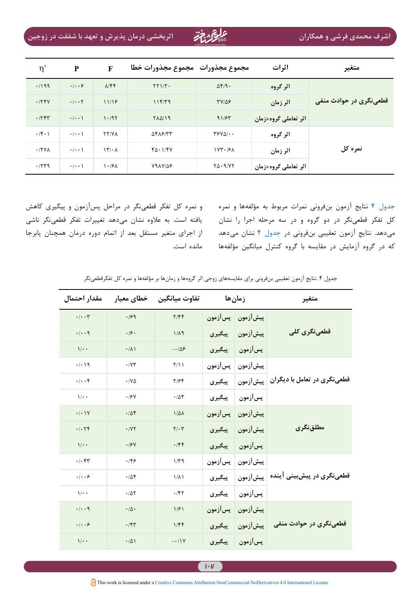|                       | اثربخشی درمان پذیرش و تعهد با شفقت در زوجین |                                     |                                  | اشرف محمدی فرشی و همکاران                       |                      |                        |
|-----------------------|---------------------------------------------|-------------------------------------|----------------------------------|-------------------------------------------------|----------------------|------------------------|
| $\eta^{\mathfrak{r}}$ | ${\bf P}$                                   | F                                   | مجموع مجذورات _مجموع مجذورات خطا |                                                 | اثرات                | متغير                  |
| .1199                 | $\cdot$   $\cdot$ 6                         | $\lambda$ /۴۴                       | $\tau\tau$ $\gamma\tau$ .        | $\Delta f$ /9.                                  | اثر گروه             |                        |
| .754                  | $\cdot/\cdot\cdot$ $\mathsf{Y}$             | 11/19                               | 115/79                           | $TY/\Delta F$                                   | اثر زمان             | قطعینگری در حوادث منفی |
| .755                  | $\cdot$   $\cdot$ \                         | 1.197                               | <b>TADIJ9</b>                    | 91/57                                           | اثر تعاملی گروه×زمان |                        |
| $\cdot$ /۴ $\cdot$ )  | $\cdot/\cdot\cdot$                          | <b>TY/VA</b>                        | 5818177                          | $\mathbf{Y}$ $\mathbf{Y}$ $\mathbf{A}$ $\cdots$ | اثر گروه             |                        |
| $\cdot$ /۲۷۸          | $\cdot$   $\cdot$ \                         | $\mathcal{N} \setminus \mathcal{N}$ | $f_0 \cdot 1/fV$                 | $1YY - 19A$                                     | اثر زمان             | نمره کل                |
| .779                  | $\cdot$   $\cdot$ \                         | $\frac{1.6}{1.2}$                   | VIAVIDE                          | $Y\Delta \cdot 9/YY$                            | اثر تعاملی گروه×زمان |                        |

و نمره کل تفکر قطعینگر در مراحل پسآزمون و پیگیری کاهش یافته است. به عالوه نشان میدهد تغییرات تفکر قطعینگر ناشی از اجرای متغیر مستقل بعد از اتمام دوره درمان همچنان پابرجا مانده است.

<span id="page-9-0"></span>[جدول 4](#page-9-0) نتایج آزمون بنفرونی نمرات مربوط به مؤلفهها و نمره کل تفکر قطعینگر در دو گروه و در سه مرحله اجرا را نشان میدهد. نتایج آزمون تعقیبی بنفرونی در [جدول ۴](#page-9-0) نشان میدهد که در گروه آزمایش در مقایسه با گروه کنترل میانگین مؤلفهها

|  |  |  |  |  |  |  |  |  |  | جدول ۴. نتایج آزمون تعقیبی بنفرونی برای مقایسههای زوجی اثر گروهها و زمانها بر مؤلفهها و نمره کل تفکرقطعینگر |
|--|--|--|--|--|--|--|--|--|--|-------------------------------------------------------------------------------------------------------------|
|--|--|--|--|--|--|--|--|--|--|-------------------------------------------------------------------------------------------------------------|

| مقدار احتمال                     | خطاي معيار                   | تفاوت ميانگين     | زمان ها  |           | متغير                       |
|----------------------------------|------------------------------|-------------------|----------|-----------|-----------------------------|
| $\cdot$ / $\cdot$ $\uparrow$     | .199                         | Y/FF              | پسآزمون  | پيشآزمون  |                             |
| $\cdot/\cdot\cdot$ 9             | .19.                         | $1/\lambda$ 9     | پیگیری   | پيشآزمون  | قطعينگري کلي                |
| $1/\cdot$                        | .71                          | $-109$            | پیگیری   | پسآزمون   |                             |
| $\cdot/\cdot$ ) 9                | $\cdot$ / $\vee\tau$         | Y/11              | پسآزمون  | پيشآزمون  |                             |
| $\cdot \mid \cdot \cdot \rangle$ | $\cdot$ / $\vee$ $\triangle$ | Y/Ff              | پیگیری   | پيش آزمون | قطعینگری در تعامل با دیگران |
| $\sqrt{\cdot \cdot \cdot}$       | .19Y                         | .78               | پیگیری   | پسآزمون   |                             |
| $\cdot/\cdot\vee$                | .708                         | $1/\Delta\lambda$ | پسآزمون  | پيش آزمون |                             |
| .1.79                            | $\cdot$ / $\vee$ $\vee$      | $Y/\cdot Y$       | پیگیری   | پيشآزمون  | مطلقنگري                    |
| $1/\cdot$                        | .19Y                         | .155              | پیگیری   | پسآزمون   |                             |
| .1.54                            | .199                         | $1/\tau$ ۹        | يس آزمون | پيش آزمون |                             |
| .  . . 9                         | .788                         | $1/\lambda$       | پیگیری   | ييش آزمون | قطعینگری در پیشبینی آینده   |
| $\sqrt{\cdot$                    | .705                         | .157              | پیگیری   | پسآزمون   |                             |
| $\cdot/\cdot\cdot$ 9             | $\cdot/\Delta$ .             | 1/51              | يسآزمون  | ييش آزمون |                             |
| .  . .9                          | .75                          | 1/ff              | پیگیری   | پيشآزمون  | قطعینگری در حوادث منفی      |
| $1/\cdot$                        | .701                         | $-1$              | پیگیری   | يس آزمون  |                             |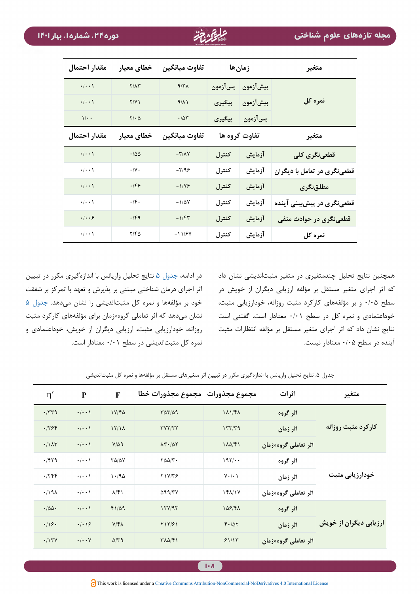| مقدار احتمال              | خطاي معيار                             | تفاوت ميانگين                 | زمان ها |                 | متغير                       |
|---------------------------|----------------------------------------|-------------------------------|---------|-----------------|-----------------------------|
| $\cdot/\cdot\cdot$        | $Y/\Lambda Y$                          | 9/7 <sub>A</sub>              | پسآزمون | پيشآزمون        |                             |
| $\cdot/\cdot\cdot$        | Y/Y                                    | 9/11                          |         | پیشآزمون پیگیری | نمره کل                     |
| $\sqrt{\cdot}$ .          | $\mathbf{Y}/\boldsymbol{\cdot} \Delta$ | $\cdot/\Delta\mathsf{T}$      | پیگیری  | پسآزمون         |                             |
| مقدار احتمال              | خطاي معيار                             | تفاوت ميانگين                 |         | تفاوت گروه ها   | متغير                       |
| $\cdot/\cdot\cdot$        | $\cdot$ / $\Delta\Delta$               | $-\mathsf{r}/\mathsf{v}$      | كنترل   | آزمايش          | قطعینگری کلی                |
| $\cdot/\cdot\cdot$        | $\cdot/\gamma$ .                       | $-\mathbf{Y}/\mathbf{Q}$      | كنترل   | آزمايش          | قطعینگری در تعامل با دیگران |
| $\cdot/\cdot\cdot$        | .199                                   | $-1/19$                       | كنترل   | آزمايش          | مطلقنگری                    |
| $\cdot/\cdot\cdot$        | $\cdot$ /۴.                            | $-1/\Delta V$                 | كنترل   | آزمایش          | قطعینگری در پیشبینی آینده   |
| $\cdot$ / $\cdot$ $\circ$ | $\cdot$ /۴۹                            | $-1/\mathfrak{F}\mathfrak{r}$ | كنترل   | آزمایش          | قطعینگری در حوادث منفی      |
| $\cdot/\cdot\cdot$        | $Y/F\Delta$                            | $-11/5V$                      | كنترل   | آزمایش          | نمره کل                     |

در ادامه، [جدول ۵](#page-10-0) نتایج تحلیل واریانس با اندازهگیری مکرر در تبیین اثر اجرای درمان شناختی مبتنی بر پذیرش و تعهد با تمرکز بر شفقت خود بر مؤلفهها و نمره کل مثبتاندیشی را نشان میدهد. [جدول ۵](#page-10-0) نشان میدهد که اثر تعاملی گروه×زمان برای مؤلفههای کارکرد مثبت روزانه، خودارزیابی مثبت، ارزیابی دیگران از خویش، خوداعتمادی و نمره کل مثبتاندیشی در سطح 0/01 معنادار است. <span id="page-10-0"></span>همچنین نتایج تحلیل چندمتغیری در متغیر مثبتاندیشی نشان داد که اثر اجرای متغیر مستقل بر مؤلفه ارزیابی دیگران از خویش در سطح 0/05 و بر مؤلفههای کارکرد مثبت روزانه، خودارزیابی مثبت، خوداعتمادی و نمره کل در سطح 0/01 معنادار است. گفتنی است نتایج نشان داد که اثر اجرای متغیر مستقل بر مؤلفه انتظارات مثبت آینده در سطح 0/05 معنادار نیست.

| متغير                  | اثرات                |                   | مجموع مجذورات _مجموع مجذورات خطا           | $\mathbf F$             | $\mathbf{P}$                   | $\eta^{\prime}$           |
|------------------------|----------------------|-------------------|--------------------------------------------|-------------------------|--------------------------------|---------------------------|
|                        | اثر گروه             | 1117A             | 557/59                                     | $1Y/F\Delta$            | $\cdot/\cdot\cdot$             | $\cdot$ /٣٣٩              |
| کارکرد مثبت روزانه     | اثر زمان             | 177/T9            | TYY/YY                                     | 15/1A                   | $\cdot/\cdot\cdot$             | .1799                     |
|                        | اثر تعاملی گروه×زمان | 110/51            | $\Lambda \Upsilon \cdot / \Delta \Upsilon$ | $Y/\Delta$ 9            | $\cdot/\cdot\cdot$             | .71AT                     |
|                        | اثر گروه             | 197/              | $Y\Delta\Delta/\Upsilon$ .                 | <b>TAIAV</b>            | $\cdot/\cdot\cdot$             | .7879                     |
| خودارزیابی مثبت        | اثر زمان             | $V \cdot / \cdot$ | <b>TIV/۳۶</b>                              | 1.40                    | $\cdot/\cdot\cdot$             | .755                      |
|                        | اثر تعاملی گروه×زمان | $Yf\lambda/Y$     | $\Delta$ 99/۳۷                             | $\lambda$ /۴)           | $\cdot$   $\cdot$ \            | .7191                     |
|                        | اثر گروه             | 108/41            | 15Y/9T                                     | $f1/\Delta9$            | $\cdot/\cdot\cdot$             | $\cdot/\Delta\Delta\cdot$ |
| ارزیابی دیگران از خویش | اثر زمان             | F.107             | Y17/51                                     | $Y/\mathfrak{F}\Lambda$ | $\cdot$   $\cdot$   $\epsilon$ | .49.                      |
|                        | اثر تعاملی گروه×زمان | 51/15             | $T\Lambda\Delta/f$                         | $\Delta$ /۳۹            | $\cdot$ / $\cdot$ Y            | .117V                     |

جدول .۵ نتایج تحلیل واریانس با اندازهگیری مکرر در تبیین اثر متغیرهای مستقل بر مؤلفهها و نمره کل مثبتاندیشی

 $1 - A$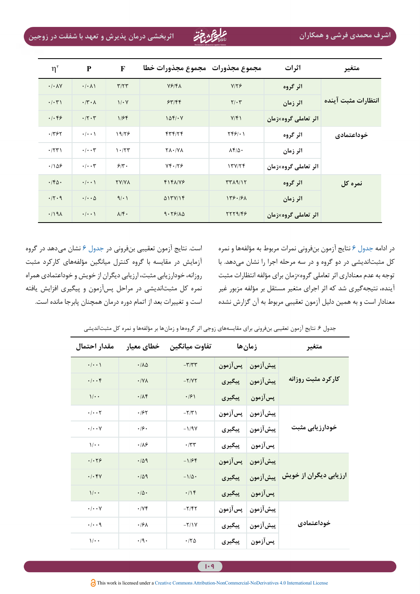| $\eta^{\mathfrak{r}}$  | ${\bf P}$                   | F                        | مجموع مجذورات _مجموع مجذورات خطا |                                 | اثرات                | متغير               |
|------------------------|-----------------------------|--------------------------|----------------------------------|---------------------------------|----------------------|---------------------|
| $\cdot/\cdot \wedge Y$ | $\cdot/\cdot \wedge$        | $\mathbf{r}/\mathbf{r}$  | $Y$ $Y$ $X$                      | Y/Y                             | اثر گروه             |                     |
| $\cdot/\cdot\tau$      | $\cdot$ /۳ $\cdot$ $\wedge$ | $1/\cdot Y$              | 55/56                            | $\mathbf{Y}/\mathbf{Y}$         | اثر زمان             | انتظارات مثبت آينده |
| .1.99                  | $\cdot$ /۲ $\cdot$ ۳        | 1/Ff                     | $10f/\cdot V$                    | $Y/\mathfrak{f}$                | اثر تعاملی گروه×زمان |                     |
| .795                   | $\cdot/\cdot\cdot$          | 19/28                    | 474174                           | $\Upsilon \xi / \cdot \Upsilon$ | اثر گروه             | خوداعتمادى          |
| $\cdot$ /٢٣١           | $\cdot/\cdot\cdot$ ۳        | 1.77                     | $Y \wedge \cdot / Y \wedge$      | $\Lambda f/\Delta$ .            | اثر زمان             |                     |
| .1109                  | $\cdot/\cdot\cdot$ ۳        | $5/\tau$ .               | $YY \cdot IYS$                   | 17Y/Tf                          | اثر تعاملی گروه×زمان |                     |
| .150.                  | $\cdot/\cdot\cdot$          | <b>TY/VA</b>             | YYX/Y                            | $TT\lambda$ 9/17                | اثر گروه             | نمره کل             |
| .71.9                  | $\cdot$ / $\cdot$ $\Delta$  | 9/1                      | $\Delta$ $\Upsilon$ $\Upsilon$   | 159.191                         | اثر زمان             |                     |
| .7191                  | $\cdot/\cdot\cdot$          | $\lambda/\mathfrak{f}$ . | 9.79/A                           | 5779/55                         | اثر تعاملی گروه×زمان |                     |

<span id="page-11-0"></span>در ادامه [جدول ۶](#page-11-0) نتایج آزمون بنفرونی نمرات مربوط به مؤلفهها و نمره کل مثبتاندیشی در دو گروه و در سه مرحله اجرا را نشان میدهد. با توجه به عدم معناداری اثر تعاملی گروه×زمان برای مؤلفه انتظارات مثبت آینده، نتیجهگیری شد که اثر اجرای متغیر مستقل بر مؤلفه مزبور غیر معنادار است و به همین دلیل آزمون تعقیبی مربوط به آن گزارش نشده

است. نتایج آزمون تعقیبی بنفرونی در [جدول ۶](#page-11-0) نشان میدهد در گروه آزمایش در مقایسه با گروه کنترل میانگین مؤلفههای کارکرد مثبت روزانه، خودارزیابی مثبت، ارزیابی دیگران از خویش و خوداعتمادی همراه نمره کل مثبتاندیشی در مراحل پسآزمون و پیگیری افزایش یافته است و تغییرات بعد از اتمام دوره درمان همچنان پابرجا مانده است.

| مقدار احتمال                    | خطای معیار               | تفاوت ميانگين            | زمان ها    |                  | متغير                  |
|---------------------------------|--------------------------|--------------------------|------------|------------------|------------------------|
| $\cdot$ / $\cdot$ /             | .110                     | $-\mathbf{r}/\mathbf{r}$ |            | پيشآزمون پسآزمون |                        |
| $\cdot/\cdot\cdot$ ۴            | $\cdot$ /Y $\wedge$      | $-Y/VT$                  | پیگیری     | پيشآزمون         | كاركرد مثبت روزانه     |
| $1/$                            | .11                      | .191                     | پیگیری     | پسآزمون          |                        |
| $\cdot/\cdot\cdot$ $\mathsf{Y}$ | .195                     | $-\mathsf{Y}/\mathsf{Y}$ | پس آزمون   | پيش آزمون        |                        |
| $\cdot/\cdot\cdot\mathsf{V}$    | .19.                     | $-1/9V$                  | پیگیری     | پيشآزمون         | خودارزیابی مثبت        |
| $1/\cdot$                       | .189                     | $\cdot$ /۳۳              | پیگیری     | پسآزمون          |                        |
| .1.79                           | .709                     | $-1/54$                  | ِ پس آزمون | ييش آزمون        |                        |
| $\cdot/\cdot$ ۴٧                | .409                     | $-1/\Delta$ .            | يپگيري     | پيش آزمون        | ارزیابی دیگران از خویش |
| $1/\cdot$                       | $\cdot/\Delta$ .         | .19                      | پیگیری     | پسآزمون          |                        |
| $\cdot/\cdot\cdot\mathsf{V}$    | $\cdot$ / $\vee$ $\circ$ | $-\mathbf{Y}/\mathbf{Y}$ | پسآزمون    | پيشآزمون         |                        |
| $\cdot$ / $\cdot$ . $\uparrow$  | .19 <sub>A</sub>         | $-Y/Y$                   | پیگیری     | پيشآزمون         | خوداعتمادي             |
| $1/\cdot$                       | $\cdot$ /9 $\cdot$       | .70                      | پیگیری     | پسآزمون          |                        |

جدول ۶. نتایج آزمون تعقیبی بنفرونی برای مقایسههای زوجی اثر گروهها و زمانها بر مؤلفهها و نمره کل مثبتاندیشی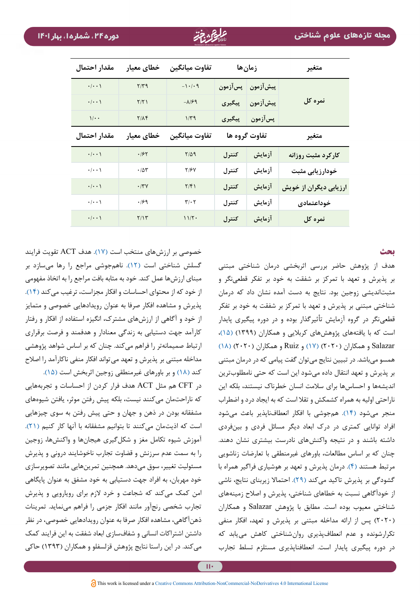| مقدار احتمال         | خطاي معيار               | تفاوت ميانگين                 | زمان ها       |                  | متغير                  |
|----------------------|--------------------------|-------------------------------|---------------|------------------|------------------------|
| $\cdot/\cdot\cdot$   | $Y/Y$ ۹                  | $-1 \cdot / \cdot 9$          |               | پيشآزمون پسآزمون |                        |
| $\cdot/\cdot\cdot$   | Y/Y                      | $-\lambda$ /۶۹                |               | پیشآزمون پیگیری  | نمرہ کل                |
| $\sqrt{\cdot}$       | $Y/\Lambda f$            | $1/\tau$ 9                    |               | پسآزمون پیگیری   |                        |
| مقدار احتمال         | خطاي معيار               | تفاوت ميانگين                 | تفاوت گروه ها |                  | متغير                  |
| $\cdot/\cdot\cdot$ ) | $\cdot$ /۶۲              | $Y/\Delta$ 9                  | كنترل         | آزمايش           | کارکرد مثبت روزانه     |
| $\cdot/\cdot\cdot$   | $\cdot$ / $\Delta \tau$  | <b>T/۶</b>                    | كنترل         | آزمايش           | خودارز یابی مثبت       |
| $\cdot/\cdot\cdot$   | $\boldsymbol{\cdot}$ /٣٧ | $Y/\mathfrak{f}$              | كنترل         | آزمايش           | ارزیابی دیگران از خویش |
| $\cdot/\cdot\cdot$   | .199                     | $\mathbf{r}/\cdot \mathbf{r}$ | كنترل         | آزمايش           | خوداعتمادى             |
| $\cdot/\cdot\cdot$   | Y/Y                      | 11/7.                         | كنترل         | آزمايش           | نمره کل                |

#### **بحث**

هدف از پژوهش حاضر بررسی اثربخشی درمان شناختی مبتنی بر پذیرش و تعهد با تمرکز بر شفقت به خود بر تفکر قطعینگر و مثبتاندیشی زوجین بود. نتایج به دست آمده نشان داد که درمان شناختی مبتنی بر پذیرش و تعهد با تمرکز بر شفقت به خود بر تفکر قطعینگر در گروه آزمایش تأثیرگذار بوده و در دوره پیگیری پایدار است که با یافتههای پژوهشهای کربالیی و همکاران )۱۳۹۹( )[15\(](#page-15-7)، Salazar و همکاران )۲۰۲۰( )[۱۷](#page-15-8)( و Ruiz و همکاران )۲۰۲۰( )[۱۸](#page-15-9)( همسو میباشد. در تبیین نتایج میتوان گفت پیامی که در درمان مبتنی بر پذیرش و تعهد انتقال داده میشود این است که حتی نامطلوبترین اندیشهها و احساسها برای سالمت انسان خطرناک نیستند، بلکه این ناراحتی اولیه به همراه کشمکش و تقال است که به ایجاد درد و اضطراب منجر میشود )[14](#page-15-6)(. همجوشی با افکار انعطافناپذیر باعث میشود افراد توانایی کمتری در درک ابعاد دیگر مسائل فردی و بینفردی داشته باشند و در نتیجه واکنشهای نادرست بیشتری نشان دهند. چنان که بر اساس مطالعات، باورهای غیرمنطقی با تعارضات زناشویی مرتبط هستند )[4](#page-14-1)(. درمان پذیرش و تعهد بر هوشیاری فراگیر همراه با گشودگی بر پذیرش تاکید میکند )[۲۹\(](#page-15-3). احتماال زیربنای نتایج، ناشی از خودآگاهی نسبت به خطاهای شناختی، پذیرش و اصالح زمینههای شناختی معیوب بوده است. مطابق با پژوهش Salazar و همکاران )۲۰۲۰( پس از ارائه مداخله مبتنی بر پذیرش و تعهد، افکار منفی تکرارشونده و عدم انعطافپذیری روانشناختی کاهش مییابد که در دوره پیگیری پایدار است. انعطافناپذیری مستلزم تسلط تجارب

خصوصی بر ارزشهای منتخب است [\)۱۷](#page-15-8)(. هدف ACT تقویت فرایند گسلش شناختی است )[12\(](#page-15-4). ناهمجوشی مراجع را رها میسازد بر مبنای ارزشها عمل کند. خود به مثابه بافت مراجع را به اتخاذ مفهومی از خود که از محتوای احساسات و افکار مجزاست، ترغیب می کند (۱۴). پذیرش و مشاهده افکار صرفا به عنوان رویدادهایی خصوصی و متمایز از خود و آگاهی از ارزشهای مشترک، انگیزه استفاده از افکار و رفتار کارآمد جهت دستیابی به زندگی معنادار و هدفمند و فرصت برقراری ارتباط صمیمانهتر را فراهم میکند. چنان که بر اساس شواهد پژوهشی مداخله مبتنی بر پذیرش و تعهد میتواند افکار منفی ناکارآمد را اصالح کند ([۱۸](#page-15-9)) و بر باورهای غیرمنطقی زوجین اثربخش است (۱۵).

در CFT هم مثل ACT هدف فرار کردن از احساسات و تجربههایی که ناراحتمان میکنند نیست، بلکه پیش رفتن موثر، یافتن شیوههای مشفقانه بودن در ذهن و جهان و حتی پیش رفتن به سوی چیزهایی است که اذیتمان میکنند تا بتوانیم مشفقانه با آنها کار کنیم (۲۱). آموزش شیوه تکامل مغز و شکلگیری هیجانها و واکنشها، زوجین را به سمت عدم سرزنش و قضاوت تجارب ناخوشایند درونی و پذیرش مسئولیت تغییر، سوق میدهد. همچنین تمرینهایی مانند تصویرسازی خود مهربان، به افراد جهت دستیابی به خود مشفق به عنوان پایگاهی امن کمک میکند که شجاعت و خرد الزم برای رویارویی و پذیرش تجارب شخصی رنجآور مانند افکار جزمی را فراهم مینماید. تمرینات ذهنآگاهی، مشاهده افکار صرفا به عنوان رویدادهایی خصوصی، در نظر داشتن اشتراکات انسانی و شفافسازی ابعاد شفقت به این فرایند کمک میکند. در این راستا نتایج پژوهش قزلسفلو و همکاران )۱۳۹۳( حاکی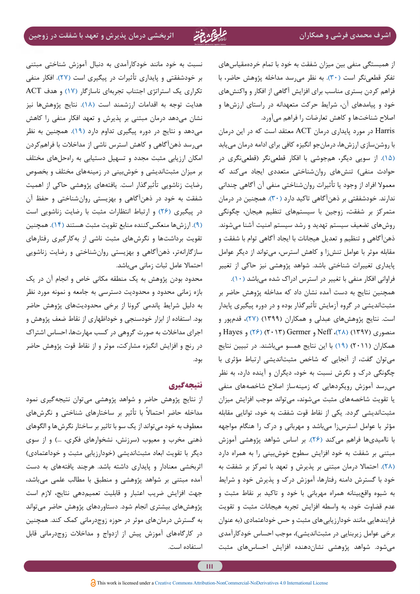نسبت به خود مانند خودکارآمدی به دنبال آموزش شناختی مبتنی بر خودشفقتی و پایداری تأثیرات در پیگیری است )[2۷\(](#page-15-17). افکار منفی تکراری یک استراتژی اجتناب تجربهای ناسازگار )[۱۷](#page-15-8)( و هدف ACT هدایت توجه به اقدامات ارزشمند است [\)۱۸\(](#page-15-9). نتایج پژوهشها نیز نشان میدهد درمان مبتنی بر پذیرش و تعهد افکار منفی را کاهش میدهد و نتایج در دوره پیگیری تداوم دارد [\)۱۹](#page-15-10)(. همچنین به نظر میرسد ذهنآگاهی و کاهش استرس ناشی از مداخالت با فراهمکردن امکان ارزیابی مثبت مجدد و تسهیل دستیابی به راهحلهای مختلف بر میزان مثبتاندیشی و خوشبینی در زمینههای مختلف و بخصوص رضایت زناشویی تأثیرگذار است. یافتههای پژوهشی حاکی از اهمیت شفقت به خود در ذهنآگاهی و بهزیستی روانشناختی و حفظ آن در پیگیری )[2۶](#page-15-15)( و ارتباط انتظارات مثبت با رضایت زناشویی است )[۹](#page-14-8)(. ارزشها منعکسکننده منابع تقویت مثبت هستند )[14](#page-15-6)(. همچنین تقویت برداشتها و نگرشهای مثبت ناشی از بهکارگیری رفتارهای سازگارانهتر، ذهنآگاهی و بهزیستی روانشناختی و رضایت زناشویی احتماال عامل ثبات زمانی میباشد.

محدود بودن پژوهش به یک منطقه مکانی خاص و انجام آن در یک بازه زمانی محدود و محدودیت دسترسی به جامعه و نمونه مورد نظر به دلیل شرایط پاندمی کرونا از برخی محدودیتهای پژوهش حاضر بود. استفاده از ابزار خودسنجی و خوداظهاری از نقاط ضعف پژوهش و اجرای مداخالت به صورت گروهی در کسب مهارتها، احساس اشتراک در رنج و افزایش انگیزه مشارکت، موثر و از نقاط قوت پژوهش حاضر بود.

#### **نتیجهگیری**

از نتایج پژوهش حاضر و شواهد پژوهشی میتوان نتیجهگیری نمود مداخله حاضر احتمالاً با تأثیر بر ساختارهای شناختی و نگرشهای معطوف به خود میتواند از یک سو با تاثیر بر ساختار نگرشها و الگوهای ذهنی مخرب و معیوب )سرزنش، نشخوارهای فکری، ...( و از سوی دیگر با تقویت ابعاد مثبتاندیشی (خودارزیابی مثبت و خوداعتمادی) اثربخشی معنادار و پایداری داشته باشد. هرچند یافتههای به دست آمده مبتنی بر شواهد پژوهشی و منطبق با مطالب علمی میباشد، جهت افزایش ضریب اعتبار و قابلیت تعمیمدهی نتایج، الزم است پژوهشهای بیشتری انجام شود. دستاوردهای پژوهش حاضر میتواند به گسترش درمانهای موثر در حوزه زوجدرمانی کمک کند. همچنین در کارگاههای آموزش پیش از ازدواج و مداخالت زوجدرمانی قابل استفاده است.

از همبستگی منفی بین میزان شفقت به خود با تمام خردهمقیاسهای تفکر قطعینگر است )[۳۰](#page-16-3)(. به نظر میرسد مداخله پژوهش حاضر، با فراهم کردن بستری مناسب برای افزایش آگاهی از افکار و واکنشهای خود و پیامدهای آن، شرایط حرکت متعهدانه در راستای ارزشها و اصالح شناختها و کاهش تعارضات را فراهم میآورد.

Harris در مورد پایداری درمان ACT معتقد است که در این درمان با روشنسازی ارزشها، درمانجو انگیزه کافی برای ادامه درمان مییابد (۱۵). از سویی دیگر، همجوشی با افکار قطعینگر (قطعینگری در حوادث منفی) تنشهای روانشناختی متعددی ایجاد میکند که معموال افراد از وجود یا تأثیرات روانشناختی منفی آن آگاهی چندانی ندارند. خودشفقتی بر ذهنآگاهی تاکید دارد )[۳۰](#page-16-3)(. همچنین در درمان متمرکز بر شفقت، زوجین با سیستمهای تنظیم هیجان، چگونگی روشهای تضعیف سیستم تهدید و رشد سیستم امنیت آشنا میشوند. ذهنآگاهی و تنظیم و تعدیل هیجانات با ایجاد آگاهی توام با شفقت و مقابله موثر با عوامل تنشزا و کاهش استرس، میتواند از دیگر عوامل پایداری تغییرات شناختی باشد. شواهد پژوهشی نیز حاکی از تغییر فراوانی افکار منفی با تغییر در استرس ادراک شده میباشد [\)10\(](#page-14-9).

همچنین نتایج به دست آمده نشان داد که مداخله پژوهش حاضر بر مثبتاندیشی در گروه آزمایش تأثیرگذار بوده و در دوره پیگیری پایدار است. نتایج پژوهشهای عبدلی و همکاران )۱۳۹۹( [\)۲۷](#page-15-17)(، قدمپور و منصوری [\(](#page-15-15)۱۳۹۷) (۲۸)، Neff و Germer( ۲۰۱۳) ([۲۶](#page-15-15)[\)](#page-15-15) و Hayes و همکاران )۲۰۱۱( [\)۱۹\(](#page-15-10) با این نتایج همسو میباشند. در تبیین نتایج میتوان گفت، از آنجایی که شاخص مثبتاندیشی ارتباط مؤثری با چگونگی درک و نگرش نسبت به خود، دیگران و آینده دارد، به نظر میرسد آموزش رویکردهایی که زمینهساز اصالح شاخصههای منفی یا تقویت شاخصههای مثبت میشوند، میتواند موجب افزایش میزان مثبتاندیشی گردد. یکی از نقاط قوت شفقت به خود، توانایی مقابله مؤثر با عوامل استرسزا میباشد و مهربانی و درک را هنگام مواجهه با ناامیدیها فراهم میکند [\)۲۶](#page-15-15)(. بر اساس شواهد پژوهشی آموزش مبتنی بر شفقت به خود افزایش سطوح خوشبینی را به همراه دارد )[2۸](#page-15-16)(. احتماال درمان مبتنی بر پذیرش و تعهد با تمرکز بر شفقت به خود با گسترش دامنه رفتارها، آموزش درک و پذیرش خود و شرایط به شیوه واقعبینانه همراه مهربانی با خود و تاکید بر نقاط مثبت و عدم قضاوت خود، به واسطه افزایش تجربه هیجانات مثبت و تقویت فرایندهایی مانند خودارزیابیهای مثبت و حس خوداعتمادی )به عنوان برخی عوامل زیربنایی در مثبتاندیشی(، موجب احساس خودکارآمدی میشود. شواهد پژوهشی نشاندهنده افزایش احساسهای مثبت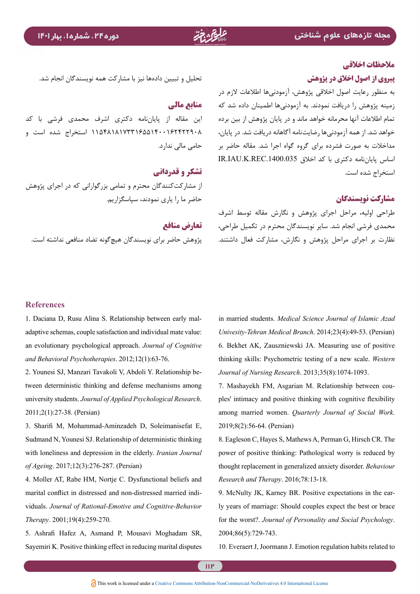### **مالحظات اخالقی**

#### **پیروی از اصول اخالق در پژوهش**

به منظور رعایت اصول اخالقی پژوهش، آزمودنیها اطالعات الزم در زمینه پژوهش را دریافت نمودند. به آزمودنیها اطمینان داده شد که تمام اطالعات آنها محرمانه خواهد ماند و در پایان پژوهش از بین برده خواهد شد. از همه آزمودنیها رضایتنامه آگاهانه دریافت شد. در پایان، مداخالت به صورت فشرده برای گروه گواه اجرا شد. مقاله حاضر بر اساس پایاننامه دکتری با کد اخلاق IR.IAU.K.REC.1400.035 استخراج شده است.

# **مشارکت نویسندگان**

طراحی اولیه، مراحل اجرای پژوهش و نگارش مقاله توسط اشرف محمدی فرشی انجام شد. سایر نویسندگان محترم در تکمیل طراحی، نظارت بر اجرای مراحل پژوهش و نگارش، مشارکت فعال داشتند.

تحلیل و تبیین دادهها نیز با مشارکت همه نویسندگان انجام شد.

### **منابع مالی**

این مقاله از پایاننامه دکتری اشرف محمدی فرشی با کد ۱۱۵۴۸۱۸۱۷۳۳۱۶۵۵۱۴۰۰۱۶۲۴۲۲۹۰۸ استخراج شده است و حامی مالی ندارد.

# **تشکر و قدردانی**

از مشارکتکنندگان محترم و تمامی بزرگوارانی که در اجرای پژوهش حاضر ما را یاری نمودند، سپاسگزاریم.

**تعارض منافع** پژوهش حاضر برای نویسندگان هیچگونه تضاد منافعی نداشته است.

### **References**

<span id="page-14-5"></span>adaptive schemas, couple satisfaction and individual mate value: 1. Daciana D, Rusu Alina S. Relationship between early malan evolutionary psychological approach. Journal of Cognitive and Behavioral Psychotherapies. 2012;12(1):63-76.

<span id="page-14-6"></span>tween deterministic thinking and defense mechanisms among 2. Younesi SJ, Manzari Tavakoli V, Abdoli Y. Relationship beuniversity students. Journal of Applied Psychological Research. 2011;2(1):27-38. (Persian)

<span id="page-14-0"></span>3. Sharifi M, Mohammad-Aminzadeh D, Soleimanisefat E, Sudmand N, Younesi SJ. Relationship of deterministic thinking with loneliness and depression in the elderly. *Iranian Journal* of Ageing. 2017;12(3):276-287. (Persian)

<span id="page-14-1"></span>4. Moller AT, Rabe HM, Nortje C. Dysfunctional beliefs and viduals. Journal of Rational-Emotive and Cognitive-Behavior marital conflict in distressed and non-distressed married indi-Therapy. 2001;19(4):259-270.

<span id="page-14-2"></span>5. Ashrafi Hafez A, Asmand P, Mousavi Moghadam SR, Sayemiri K. Positive thinking effect in reducing marital disputes

<span id="page-14-3"></span>in married students. *Medical Science Journal of Islamic Azad* Univesity-Tehran Medical Branch. 2014;23(4):49-53. (Persian) 6. Bekhet AK, Zauszniewski JA. Measuring use of positive thinking skills: Psychometric testing of a new scale. Western *Journal of Nursing Research.* 2013;35(8):1074-1093.

<span id="page-14-4"></span>ples' intimacy and positive thinking with cognitive flexibility 7. Mashayekh FM, Asgarian M. Relationship between couamong married women. Quarterly Journal of Social Work. 2019;8(2):56-64. (Persian)

<span id="page-14-7"></span>8. Eagleson C, Hayes S, Mathews A, Perman G, Hirsch CR. The power of positive thinking: Pathological worry is reduced by thought replacement in generalized anxiety disorder. Behaviour Research and Therapy. 2016;78:13-18.

<span id="page-14-8"></span>ly years of marriage: Should couples expect the best or brace 9. McNulty JK, Karney BR. Positive expectations in the earfor the worst?. Journal of Personality and Social Psychology. 2004:86(5):729-743.

<span id="page-14-9"></span>10. Everaert J, Joormann J. Emotion regulation habits related to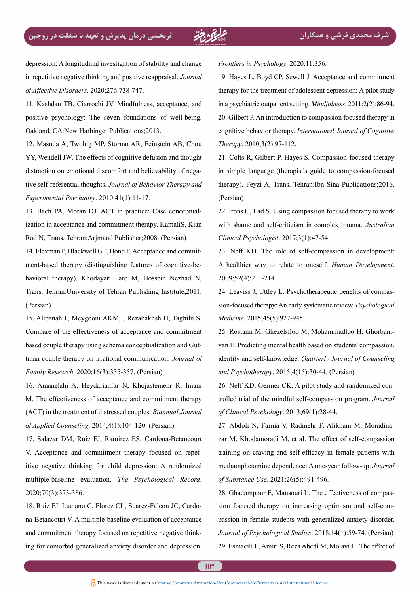depression: A longitudinal investigation of stability and change in repetitive negative thinking and positive reappraisal. *Journal* of Affective Disorders. 2020;276:738-747.

<span id="page-15-0"></span>11. Kashdan TB, Ciarrochi JV. Mindfulness, acceptance, and positive psychology: The seven foundations of well-being. Oakland, CA:New Harbinger Publications; 2013.

<span id="page-15-4"></span>12. Masuda A, Twohig MP, Stormo AR, Feinstein AB, Chou YY, Wendell JW. The effects of cognitive defusion and thought *tive self-referential thoughts. Journal of Behavior Therapy and* distraction on emotional discomfort and believability of nega-Experimental Psychiatry 2010:41(1):11-17.

<span id="page-15-5"></span>ization in acceptance and commitment therapy. KamaliS, Kian 13. Bach PA, Moran DJ. ACT in practice: Case conceptual-Rad N. Trans. Tehran: Arimand Publisher: 2008. (Persian)

<span id="page-15-6"></span>havioral therapy). Khodayari Fard M, Hossein Nezhad N, ment-based therapy (distinguishing features of cognitive-be-14. Flexman P, Blackwell GT, Bond F. Acceptance and commit-Trans. Tehran: University of Tehran Publishing Institute; 2011. (Persian)

<span id="page-15-7"></span>15. Alipanah F, Meygooni AKM, , Rezabakhsh H, Taghilu S. Compare of the effectiveness of acceptance and commitment tman couple therapy on irrational communication. Journal of based couple therapy using schema conceptualization and Gut-*Family Research.* 2020;16(3):335-357. (Persian)

16. Amanelahi A, Heydarianfar N, Khojastemehr R, Imani M. The effectiveness of acceptance and commitment therapy *(ACT)* in the treatment of distressed couples. *Biannual Journal* of *Applied Counseling.* 2014;4(1):104-120. (Persian)

<span id="page-15-8"></span>17. Salazar DM, Ruiz FJ, Ramirez ES, Cardona-Betancourt itive negative thinking for child depression: A randomized V. Acceptance and commitment therapy focused on repetmultiple-baseline evaluation. The Psychological Record. 2020;70(3):373-386.

<span id="page-15-9"></span>na-Betancourt V. A multiple-baseline evaluation of acceptance 18. Ruiz FJ, Luciano C, Florez CL, Suarez-Falcon JC, Cardoing for comorbid generalized anxiety disorder and depression. and commitment therapy focused on repetitive negative thinkFrontiers in Psychology. 2020;11:356.

<span id="page-15-10"></span><span id="page-15-1"></span>19. Hayes L, Boyd CP, Sewell J. Acceptance and commitment therapy for the treatment of adolescent depression: A pilot study in a psychiatric outpatient setting. *Mindfulness*. 2011;2(2):86-94. 20. Gilbert P. An introduction to compassion focused therapy in cognitive behavior therapy. *International Journal of Cognitive* Therapy. 2010:3(2):97-112.

<span id="page-15-11"></span>21. Colts R, Gilbert P, Hayes S. Compassion-focused therapy in simple language (therapist's guide to compassion-focused therapy). Feyzi A, Trans. Tehran:Ibn Sina Publications:2016.  $(Persian)$ 

<span id="page-15-2"></span>22. Irons C, Lad S. Using compassion focused therapy to work with shame and self-criticism in complex trauma. Australian :47-54.(1)3;2017 .*Psychologist Clinical*

<span id="page-15-12"></span>23. Neff KD. The role of self-compassion in development: A healthier way to relate to oneself. Human Development. 2009;52(4):211-214.

<span id="page-15-13"></span>sion-focused therapy: An early systematic review. *Psychological* 24. Leaviss J, Uttley L. Psychotherapeutic benefits of compas-Medicine. 2015;45(5):927-945.

<span id="page-15-14"></span>van E. Predicting mental health based on students' compassion, 25. Rostami M, Ghezelsfloo M, Mohammadloo H, Ghorbani*identity* and self-knowledge. *Quarterly Journal of Counseling* and Psychotherapy. 2015;4(15):30-44. (Persian)

<span id="page-15-15"></span>*trolled trial of the mindful self-compassion program. Journal* 26. Neff KD, Germer CK. A pilot study and randomized conof Clinical Psychology. 2013;69(1):28-44.

<span id="page-15-17"></span>zar M, Khodamoradi M, et al. The effect of self-compassion 27. Abdoli N, Farnia V, Radmehr F, Alikhani M, Moradinatraining on craving and self-efficacy in female patients with *methamphetamine dependence: A one-year follow-up. Journal* of Substance Use. 2021;26(5):491-496.

<span id="page-15-16"></span><span id="page-15-3"></span>passion in female students with generalized anxiety disorder. sion focused therapy on increasing optimism and self-com-28. Ghadampour E, Mansouri L. The effectiveness of compas-*Journal of Psychological Studies.* 2018;14(1):59-74. (Persian) 29. Esmaeili L. Amiri S. Reza Abedi M. Molavi H. The effect of